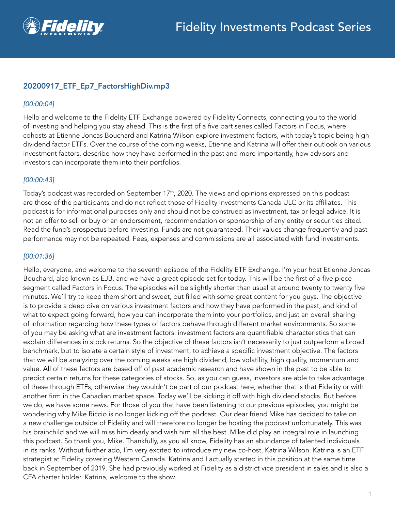

# 20200917\_ETF\_Ep7\_FactorsHighDiv.mp3

### *[00:00:04]*

Hello and welcome to the Fidelity ETF Exchange powered by Fidelity Connects, connecting you to the world of investing and helping you stay ahead. This is the first of a five part series called Factors in Focus, where cohosts at Etienne Joncas Bouchard and Katrina Wilson explore investment factors, with today's topic being high dividend factor ETFs. Over the course of the coming weeks, Etienne and Katrina will offer their outlook on various investment factors, describe how they have performed in the past and more importantly, how advisors and investors can incorporate them into their portfolios.

## *[00:00:43]*

Today's podcast was recorded on September 17<sup>th</sup>, 2020. The views and opinions expressed on this podcast are those of the participants and do not reflect those of Fidelity Investments Canada ULC or its affiliates. This podcast is for informational purposes only and should not be construed as investment, tax or legal advice. It is not an offer to sell or buy or an endorsement, recommendation or sponsorship of any entity or securities cited. Read the fund's prospectus before investing. Funds are not guaranteed. Their values change frequently and past performance may not be repeated. Fees, expenses and commissions are all associated with fund investments.

### *[00:01:36]*

Hello, everyone, and welcome to the seventh episode of the Fidelity ETF Exchange. I'm your host Etienne Joncas Bouchard, also known as EJB, and we have a great episode set for today. This will be the first of a five piece segment called Factors in Focus. The episodes will be slightly shorter than usual at around twenty to twenty five minutes. We'll try to keep them short and sweet, but filled with some great content for you guys. The objective is to provide a deep dive on various investment factors and how they have performed in the past, and kind of what to expect going forward, how you can incorporate them into your portfolios, and just an overall sharing of information regarding how these types of factors behave through different market environments. So some of you may be asking what are investment factors: investment factors are quantifiable characteristics that can explain differences in stock returns. So the objective of these factors isn't necessarily to just outperform a broad benchmark, but to isolate a certain style of investment, to achieve a specific investment objective. The factors that we will be analyzing over the coming weeks are high dividend, low volatility, high quality, momentum and value. All of these factors are based off of past academic research and have shown in the past to be able to predict certain returns for these categories of stocks. So, as you can guess, investors are able to take advantage of these through ETFs, otherwise they wouldn't be part of our podcast here, whether that is that Fidelity or with another firm in the Canadian market space. Today we'll be kicking it off with high dividend stocks. But before we do, we have some news. For those of you that have been listening to our previous episodes, you might be wondering why Mike Riccio is no longer kicking off the podcast. Our dear friend Mike has decided to take on a new challenge outside of Fidelity and will therefore no longer be hosting the podcast unfortunately. This was his brainchild and we will miss him dearly and wish him all the best. Mike did play an integral role in launching this podcast. So thank you, Mike. Thankfully, as you all know, Fidelity has an abundance of talented individuals in its ranks. Without further ado, I'm very excited to introduce my new co-host, Katrina Wilson. Katrina is an ETF strategist at Fidelity covering Western Canada. Katrina and I actually started in this position at the same time back in September of 2019. She had previously worked at Fidelity as a district vice president in sales and is also a CFA charter holder. Katrina, welcome to the show.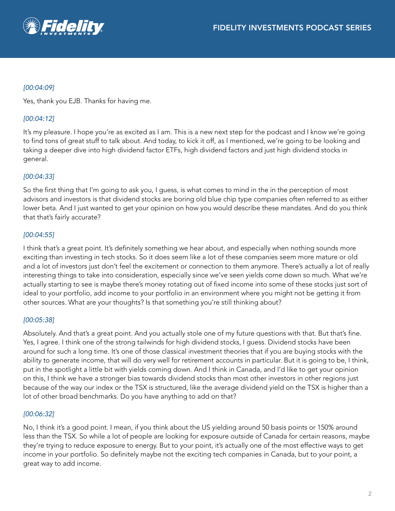## *[00:04:09]*

Yes, thank you EJB. Thanks for having me.

## *[00:04:12]*

It's my pleasure. I hope you're as excited as I am. This is a new next step for the podcast and I know we're going to find tons of great stuff to talk about. And today, to kick it off, as I mentioned, we're going to be looking and taking a deeper dive into high dividend factor ETFs, high dividend factors and just high dividend stocks in general.

## *[00:04:33]*

So the first thing that I'm going to ask you, I guess, is what comes to mind in the in the perception of most advisors and investors is that dividend stocks are boring old blue chip type companies often referred to as either lower beta. And I just wanted to get your opinion on how you would describe these mandates. And do you think that that's fairly accurate?

## *[00:04:55]*

I think that's a great point. It's definitely something we hear about, and especially when nothing sounds more exciting than investing in tech stocks. So it does seem like a lot of these companies seem more mature or old and a lot of investors just don't feel the excitement or connection to them anymore. There's actually a lot of really interesting things to take into consideration, especially since we've seen yields come down so much. What we're actually starting to see is maybe there's money rotating out of fixed income into some of these stocks just sort of ideal to your portfolio, add income to your portfolio in an environment where you might not be getting it from other sources. What are your thoughts? Is that something you're still thinking about?

## *[00:05:38]*

Absolutely. And that's a great point. And you actually stole one of my future questions with that. But that's fine. Yes, I agree. I think one of the strong tailwinds for high dividend stocks, I guess. Dividend stocks have been around for such a long time. It's one of those classical investment theories that if you are buying stocks with the ability to generate income, that will do very well for retirement accounts in particular. But it is going to be, I think, put in the spotlight a little bit with yields coming down. And I think in Canada, and I'd like to get your opinion on this, I think we have a stronger bias towards dividend stocks than most other investors in other regions just because of the way our index or the TSX is structured, like the average dividend yield on the TSX is higher than a lot of other broad benchmarks. Do you have anything to add on that?

## *[00:06:32]*

No, I think it's a good point. I mean, if you think about the US yielding around 50 basis points or 150% around less than the TSX. So while a lot of people are looking for exposure outside of Canada for certain reasons, maybe they're trying to reduce exposure to energy. But to your point, it's actually one of the most effective ways to get income in your portfolio. So definitely maybe not the exciting tech companies in Canada, but to your point, a great way to add income.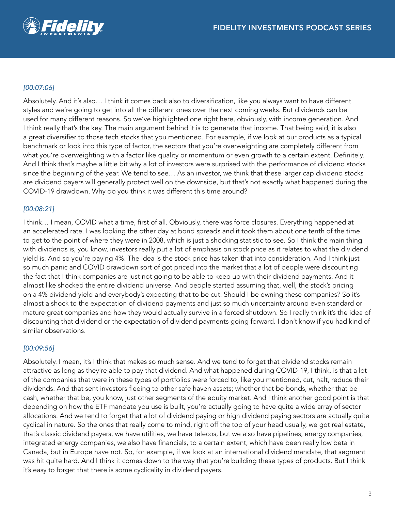

## *[00:07:06]*

Absolutely. And it's also… I think it comes back also to diversification, like you always want to have different styles and we're going to get into all the different ones over the next coming weeks. But dividends can be used for many different reasons. So we've highlighted one right here, obviously, with income generation. And I think really that's the key. The main argument behind it is to generate that income. That being said, it is also a great diversifier to those tech stocks that you mentioned. For example, if we look at our products as a typical benchmark or look into this type of factor, the sectors that you're overweighting are completely different from what you're overweighting with a factor like quality or momentum or even growth to a certain extent. Definitely. And I think that's maybe a little bit why a lot of investors were surprised with the performance of dividend stocks since the beginning of the year. We tend to see… As an investor, we think that these larger cap dividend stocks are dividend payers will generally protect well on the downside, but that's not exactly what happened during the COVID-19 drawdown. Why do you think it was different this time around?

### *[00:08:21]*

I think… I mean, COVID what a time, first of all. Obviously, there was force closures. Everything happened at an accelerated rate. I was looking the other day at bond spreads and it took them about one tenth of the time to get to the point of where they were in 2008, which is just a shocking statistic to see. So I think the main thing with dividends is, you know, investors really put a lot of emphasis on stock price as it relates to what the dividend yield is. And so you're paying 4%. The idea is the stock price has taken that into consideration. And I think just so much panic and COVID drawdown sort of got priced into the market that a lot of people were discounting the fact that I think companies are just not going to be able to keep up with their dividend payments. And it almost like shocked the entire dividend universe. And people started assuming that, well, the stock's pricing on a 4% dividend yield and everybody's expecting that to be cut. Should I be owning these companies? So it's almost a shock to the expectation of dividend payments and just so much uncertainty around even standard or mature great companies and how they would actually survive in a forced shutdown. So I really think it's the idea of discounting that dividend or the expectation of dividend payments going forward. I don't know if you had kind of similar observations.

### *[00:09:56]*

Absolutely. I mean, it's I think that makes so much sense. And we tend to forget that dividend stocks remain attractive as long as they're able to pay that dividend. And what happened during COVID-19, I think, is that a lot of the companies that were in these types of portfolios were forced to, like you mentioned, cut, halt, reduce their dividends. And that sent investors fleeing to other safe haven assets; whether that be bonds, whether that be cash, whether that be, you know, just other segments of the equity market. And I think another good point is that depending on how the ETF mandate you use is built, you're actually going to have quite a wide array of sector allocations. And we tend to forget that a lot of dividend paying or high dividend paying sectors are actually quite cyclical in nature. So the ones that really come to mind, right off the top of your head usually, we got real estate, that's classic dividend payers, we have utilities, we have telecos, but we also have pipelines, energy companies, integrated energy companies, we also have financials, to a certain extent, which have been really low beta in Canada, but in Europe have not. So, for example, if we look at an international dividend mandate, that segment was hit quite hard. And I think it comes down to the way that you're building these types of products. But I think it's easy to forget that there is some cyclicality in dividend payers.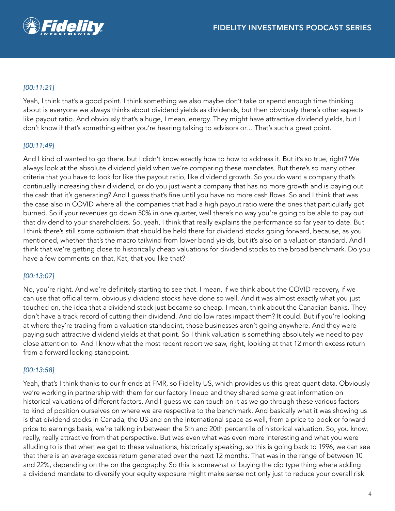

# *[00:11:21]*

Yeah, I think that's a good point. I think something we also maybe don't take or spend enough time thinking about is everyone we always thinks about dividend yields as dividends, but then obviously there's other aspects like payout ratio. And obviously that's a huge, I mean, energy. They might have attractive dividend yields, but I don't know if that's something either you're hearing talking to advisors or… That's such a great point.

## *[00:11:49]*

And I kind of wanted to go there, but I didn't know exactly how to how to address it. But it's so true, right? We always look at the absolute dividend yield when we're comparing these mandates. But there's so many other criteria that you have to look for like the payout ratio, like dividend growth. So you do want a company that's continually increasing their dividend, or do you just want a company that has no more growth and is paying out the cash that it's generating? And I guess that's fine until you have no more cash flows. So and I think that was the case also in COVID where all the companies that had a high payout ratio were the ones that particularly got burned. So if your revenues go down 50% in one quarter, well there's no way you're going to be able to pay out that dividend to your shareholders. So, yeah, I think that really explains the performance so far year to date. But I think there's still some optimism that should be held there for dividend stocks going forward, because, as you mentioned, whether that's the macro tailwind from lower bond yields, but it's also on a valuation standard. And I think that we're getting close to historically cheap valuations for dividend stocks to the broad benchmark. Do you have a few comments on that, Kat, that you like that?

### *[00:13:07]*

No, you're right. And we're definitely starting to see that. I mean, if we think about the COVID recovery, if we can use that official term, obviously dividend stocks have done so well. And it was almost exactly what you just touched on, the idea that a dividend stock just became so cheap. I mean, think about the Canadian banks. They don't have a track record of cutting their dividend. And do low rates impact them? It could. But if you're looking at where they're trading from a valuation standpoint, those businesses aren't going anywhere. And they were paying such attractive dividend yields at that point. So I think valuation is something absolutely we need to pay close attention to. And I know what the most recent report we saw, right, looking at that 12 month excess return from a forward looking standpoint.

### *[00:13:58]*

Yeah, that's I think thanks to our friends at FMR, so Fidelity US, which provides us this great quant data. Obviously we're working in partnership with them for our factory lineup and they shared some great information on historical valuations of different factors. And I guess we can touch on it as we go through these various factors to kind of position ourselves on where we are respective to the benchmark. And basically what it was showing us is that dividend stocks in Canada, the US and on the international space as well, from a price to book or forward price to earnings basis, we're talking in between the 5th and 20th percentile of historical valuation. So, you know, really, really attractive from that perspective. But was even what was even more interesting and what you were alluding to is that when we get to these valuations, historically speaking, so this is going back to 1996, we can see that there is an average excess return generated over the next 12 months. That was in the range of between 10 and 22%, depending on the on the geography. So this is somewhat of buying the dip type thing where adding a dividend mandate to diversify your equity exposure might make sense not only just to reduce your overall risk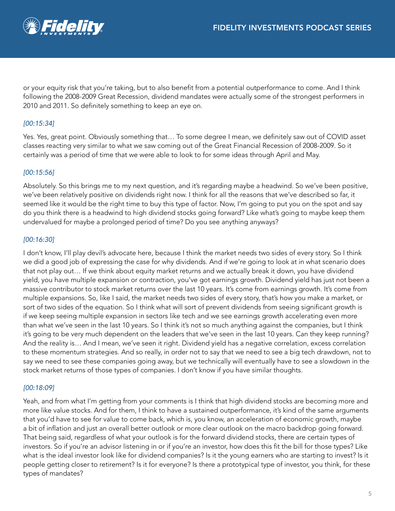

or your equity risk that you're taking, but to also benefit from a potential outperformance to come. And I think following the 2008-2009 Great Recession, dividend mandates were actually some of the strongest performers in 2010 and 2011. So definitely something to keep an eye on.

## *[00:15:34]*

Yes. Yes, great point. Obviously something that… To some degree I mean, we definitely saw out of COVID asset classes reacting very similar to what we saw coming out of the Great Financial Recession of 2008-2009. So it certainly was a period of time that we were able to look to for some ideas through April and May.

## *[00:15:56]*

Absolutely. So this brings me to my next question, and it's regarding maybe a headwind. So we've been positive, we've been relatively positive on dividends right now. I think for all the reasons that we've described so far, it seemed like it would be the right time to buy this type of factor. Now, I'm going to put you on the spot and say do you think there is a headwind to high dividend stocks going forward? Like what's going to maybe keep them undervalued for maybe a prolonged period of time? Do you see anything anyways?

### *[00:16:30]*

I don't know, I'll play devil's advocate here, because I think the market needs two sides of every story. So I think we did a good job of expressing the case for why dividends. And if we're going to look at in what scenario does that not play out… If we think about equity market returns and we actually break it down, you have dividend yield, you have multiple expansion or contraction, you've got earnings growth. Dividend yield has just not been a massive contributor to stock market returns over the last 10 years. It's come from earnings growth. It's come from multiple expansions. So, like I said, the market needs two sides of every story, that's how you make a market, or sort of two sides of the equation. So I think what will sort of prevent dividends from seeing significant growth is if we keep seeing multiple expansion in sectors like tech and we see earnings growth accelerating even more than what we've seen in the last 10 years. So I think it's not so much anything against the companies, but I think it's going to be very much dependent on the leaders that we've seen in the last 10 years. Can they keep running? And the reality is… And I mean, we've seen it right. Dividend yield has a negative correlation, excess correlation to these momentum strategies. And so really, in order not to say that we need to see a big tech drawdown, not to say we need to see these companies going away, but we technically will eventually have to see a slowdown in the stock market returns of those types of companies. I don't know if you have similar thoughts.

### *[00:18:09]*

Yeah, and from what I'm getting from your comments is I think that high dividend stocks are becoming more and more like value stocks. And for them, I think to have a sustained outperformance, it's kind of the same arguments that you'd have to see for value to come back, which is, you know, an acceleration of economic growth, maybe a bit of inflation and just an overall better outlook or more clear outlook on the macro backdrop going forward. That being said, regardless of what your outlook is for the forward dividend stocks, there are certain types of investors. So if you're an advisor listening in or if you're an investor, how does this fit the bill for those types? Like what is the ideal investor look like for dividend companies? Is it the young earners who are starting to invest? Is it people getting closer to retirement? Is it for everyone? Is there a prototypical type of investor, you think, for these types of mandates?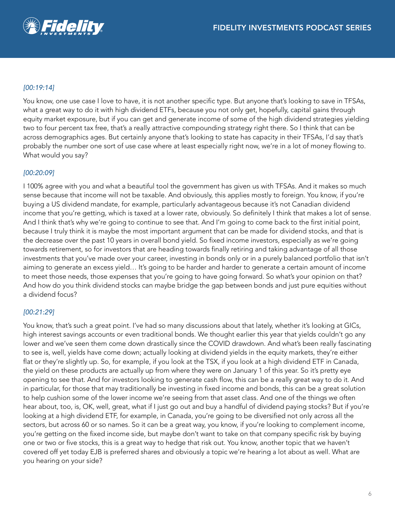

## *[00:19:14]*

You know, one use case I love to have, it is not another specific type. But anyone that's looking to save in TFSAs, what a great way to do it with high dividend ETFs, because you not only get, hopefully, capital gains through equity market exposure, but if you can get and generate income of some of the high dividend strategies yielding two to four percent tax free, that's a really attractive compounding strategy right there. So I think that can be across demographics ages. But certainly anyone that's looking to state has capacity in their TFSAs, I'd say that's probably the number one sort of use case where at least especially right now, we're in a lot of money flowing to. What would you say?

### *[00:20:09]*

I 100% agree with you and what a beautiful tool the government has given us with TFSAs. And it makes so much sense because that income will not be taxable. And obviously, this applies mostly to foreign. You know, if you're buying a US dividend mandate, for example, particularly advantageous because it's not Canadian dividend income that you're getting, which is taxed at a lower rate, obviously. So definitely I think that makes a lot of sense. And I think that's why we're going to continue to see that. And I'm going to come back to the first initial point, because I truly think it is maybe the most important argument that can be made for dividend stocks, and that is the decrease over the past 10 years in overall bond yield. So fixed income investors, especially as we're going towards retirement, so for investors that are heading towards finally retiring and taking advantage of all those investments that you've made over your career, investing in bonds only or in a purely balanced portfolio that isn't aiming to generate an excess yield… It's going to be harder and harder to generate a certain amount of income to meet those needs, those expenses that you're going to have going forward. So what's your opinion on that? And how do you think dividend stocks can maybe bridge the gap between bonds and just pure equities without a dividend focus?

### *[00:21:29]*

You know, that's such a great point. I've had so many discussions about that lately, whether it's looking at GICs, high interest savings accounts or even traditional bonds. We thought earlier this year that yields couldn't go any lower and we've seen them come down drastically since the COVID drawdown. And what's been really fascinating to see is, well, yields have come down; actually looking at dividend yields in the equity markets, they're either flat or they're slightly up. So, for example, if you look at the TSX, if you look at a high dividend ETF in Canada, the yield on these products are actually up from where they were on January 1 of this year. So it's pretty eye opening to see that. And for investors looking to generate cash flow, this can be a really great way to do it. And in particular, for those that may traditionally be investing in fixed income and bonds, this can be a great solution to help cushion some of the lower income we're seeing from that asset class. And one of the things we often hear about, too, is, OK, well, great, what if I just go out and buy a handful of dividend paying stocks? But if you're looking at a high dividend ETF, for example, in Canada, you're going to be diversified not only across all the sectors, but across 60 or so names. So it can be a great way, you know, if you're looking to complement income, you're getting on the fixed income side, but maybe don't want to take on that company specific risk by buying one or two or five stocks, this is a great way to hedge that risk out. You know, another topic that we haven't covered off yet today EJB is preferred shares and obviously a topic we're hearing a lot about as well. What are you hearing on your side?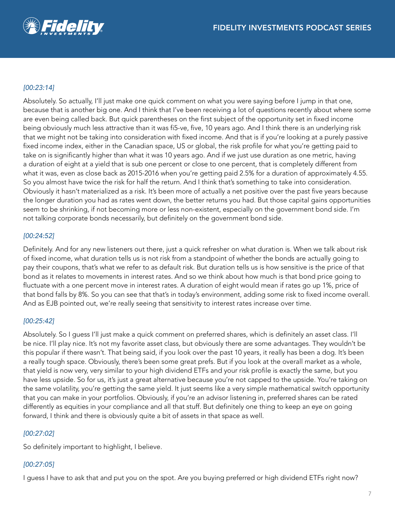

## *[00:23:14]*

Absolutely. So actually, I'll just make one quick comment on what you were saying before I jump in that one, because that is another big one. And I think that I've been receiving a lot of questions recently about where some are even being called back. But quick parentheses on the first subject of the opportunity set in fixed income being obviously much less attractive than it was fi5-ve, five, 10 years ago. And I think there is an underlying risk that we might not be taking into consideration with fixed income. And that is if you're looking at a purely passive fixed income index, either in the Canadian space, US or global, the risk profile for what you're getting paid to take on is significantly higher than what it was 10 years ago. And if we just use duration as one metric, having a duration of eight at a yield that is sub one percent or close to one percent, that is completely different from what it was, even as close back as 2015-2016 when you're getting paid 2.5% for a duration of approximately 4.55. So you almost have twice the risk for half the return. And I think that's something to take into consideration. Obviously it hasn't materialized as a risk. It's been more of actually a net positive over the past five years because the longer duration you had as rates went down, the better returns you had. But those capital gains opportunities seem to be shrinking, if not becoming more or less non-existent, especially on the government bond side. I'm not talking corporate bonds necessarily, but definitely on the government bond side.

## *[00:24:52]*

Definitely. And for any new listeners out there, just a quick refresher on what duration is. When we talk about risk of fixed income, what duration tells us is not risk from a standpoint of whether the bonds are actually going to pay their coupons, that's what we refer to as default risk. But duration tells us is how sensitive is the price of that bond as it relates to movements in interest rates. And so we think about how much is that bond price going to fluctuate with a one percent move in interest rates. A duration of eight would mean if rates go up 1%, price of that bond falls by 8%. So you can see that that's in today's environment, adding some risk to fixed income overall. And as EJB pointed out, we're really seeing that sensitivity to interest rates increase over time.

### *[00:25:42]*

Absolutely. So I guess I'll just make a quick comment on preferred shares, which is definitely an asset class. I'll be nice. I'll play nice. It's not my favorite asset class, but obviously there are some advantages. They wouldn't be this popular if there wasn't. That being said, if you look over the past 10 years, it really has been a dog. It's been a really tough space. Obviously, there's been some great prefs. But if you look at the overall market as a whole, that yield is now very, very similar to your high dividend ETFs and your risk profile is exactly the same, but you have less upside. So for us, it's just a great alternative because you're not capped to the upside. You're taking on the same volatility, you're getting the same yield. It just seems like a very simple mathematical switch opportunity that you can make in your portfolios. Obviously, if you're an advisor listening in, preferred shares can be rated differently as equities in your compliance and all that stuff. But definitely one thing to keep an eye on going forward, I think and there is obviously quite a bit of assets in that space as well.

## *[00:27:02]*

So definitely important to highlight, I believe.

## *[00:27:05]*

I guess I have to ask that and put you on the spot. Are you buying preferred or high dividend ETFs right now?